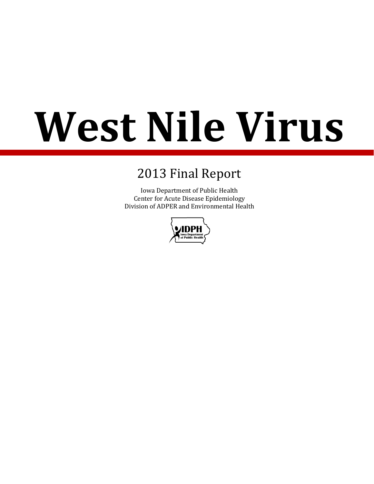# **West Nile Virus**

# 2013 Final Report

Iowa Department of Public Health Center for Acute Disease Epidemiology Division of ADPER and Environmental Health

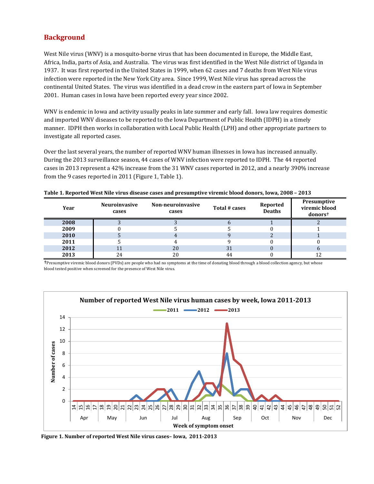## **Background**

West Nile virus (WNV) is a mosquito-borne virus that has been documented in Europe, the Middle East, Africa, India, parts of Asia, and Australia. The virus was first identified in the West Nile district of Uganda in 1937. It was first reported in the United States in 1999, when 62 cases and 7 deaths from West Nile virus infection were reported in the New York City area. Since 1999, West Nile virus has spread across the continental United States. The virus was identified in a dead crow in the eastern part of Iowa in September 2001. Human cases in Iowa have been reported every year since 2002.

WNV is endemic in Iowa and activity usually peaks in late summer and early fall. Iowa law requires domestic and imported WNV diseases to be reported to the Iowa Department of Public Health (IDPH) in a timely manner. IDPH then works in collaboration with Local Public Health (LPH) and other appropriate partners to investigate all reported cases.

Over the last several years, the number of reported WNV human illnesses in Iowa has increased annually. During the 2013 surveillance season, 44 cases of WNV infection were reported to IDPH. The 44 reported cases in 2013 represent a 42% increase from the 31 WNV cases reported in 2012, and a nearly 390% increase from the 9 cases reported in 2011 (Figure 1, Table 1).

| Table 1. Reported West Nile virus disease cases and presumptive viremic blood donors, Iowa, 2008 - 2013 |  |  |
|---------------------------------------------------------------------------------------------------------|--|--|
|---------------------------------------------------------------------------------------------------------|--|--|

| Year | <b>Neuroinvasive</b><br>cases | Non-neuroinvasive<br>cases | Total # cases | Reported<br>Deaths | Presumptive<br>viremic blood<br>donors <sup>+</sup> |
|------|-------------------------------|----------------------------|---------------|--------------------|-----------------------------------------------------|
| 2008 |                               |                            |               |                    |                                                     |
| 2009 |                               |                            |               |                    |                                                     |
| 2010 |                               |                            |               |                    |                                                     |
| 2011 |                               |                            |               |                    |                                                     |
| 2012 |                               | 20                         | 31            |                    |                                                     |
| 2013 | 24                            | 20                         | 44            |                    | 12                                                  |

†Presumptive viremic blood donors (PVDs) are people who had no symptoms at the time of donating blood through a blood collection agency, but whose blood tested positive when screened for the presence of West Nile virus.



**Figure 1. Number of reported West Nile virus cases– Iowa, 2011-2013**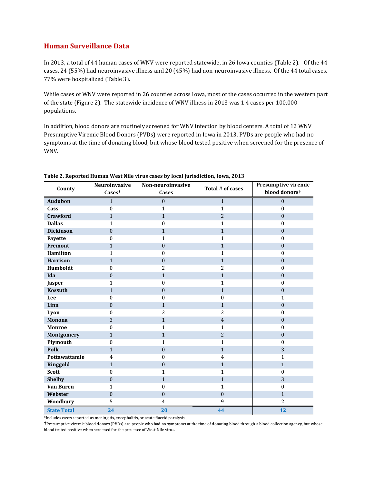#### **Human Surveillance Data**

In 2013, a total of 44 human cases of WNV were reported statewide, in 26 Iowa counties (Table 2). Of the 44 cases, 24 (55%) had neuroinvasive illness and 20 (45%) had non-neuroinvasive illness. Of the 44 total cases, 77% were hospitalized (Table 3).

While cases of WNV were reported in 26 counties across Iowa, most of the cases occurred in the western part of the state (Figure 2). The statewide incidence of WNV illness in 2013 was 1.4 cases per 100,000 populations.

In addition, blood donors are routinely screened for WNV infection by blood centers. A total of 12 WNV Presumptive Viremic Blood Donors (PVDs) were reported in Iowa in 2013. PVDs are people who had no symptoms at the time of donating blood, but whose blood tested positive when screened for the presence of WNV.

| County             | Neuroinvasive<br>Non-neuroinvasive<br>Cases*<br><b>Cases</b> |                  | Total # of cases | Presumptive viremic<br>blood donors <sup>+</sup> |
|--------------------|--------------------------------------------------------------|------------------|------------------|--------------------------------------------------|
| <b>Audubon</b>     | $\mathbf{1}$                                                 | $\mathbf{0}$     | $\mathbf{1}$     | $\mathbf{0}$                                     |
| Cass               | $\Omega$                                                     | $\mathbf{1}$     | $\mathbf{1}$     | $\mathbf{0}$                                     |
| Crawford           | $\mathbf{1}$                                                 | $\mathbf{1}$     | $\overline{2}$   | $\boldsymbol{0}$                                 |
| <b>Dallas</b>      | 1                                                            | $\mathbf{0}$     | $\mathbf{1}$     | $\mathbf{0}$                                     |
| <b>Dickinson</b>   | $\mathbf{0}$                                                 | $\mathbf{1}$     | $\mathbf{1}$     | $\boldsymbol{0}$                                 |
| Fayette            | $\theta$                                                     | $\mathbf{1}$     | $\mathbf{1}$     | $\boldsymbol{0}$                                 |
| Fremont            | $\mathbf{1}$                                                 | $\mathbf{0}$     | $\mathbf{1}$     | $\boldsymbol{0}$                                 |
| Hamilton           | $\mathbf{1}$                                                 | $\mathbf{0}$     | $\mathbf{1}$     | $\boldsymbol{0}$                                 |
| <b>Harrison</b>    | $\mathbf{1}$                                                 | $\boldsymbol{0}$ | $\mathbf{1}$     | $\boldsymbol{0}$                                 |
| Humboldt           | $\theta$                                                     | $\overline{2}$   | $\overline{2}$   | $\mathbf{0}$                                     |
| Ida                | $\mathbf{0}$                                                 | $\mathbf{1}$     | $\mathbf{1}$     | $\boldsymbol{0}$                                 |
| Jasper             | $\mathbf{1}$                                                 | $\boldsymbol{0}$ | $\mathbf{1}$     | $\boldsymbol{0}$                                 |
| <b>Kossuth</b>     | $\mathbf{1}$                                                 | $\mathbf{0}$     | $\mathbf{1}$     | $\mathbf{0}$                                     |
| Lee                | $\boldsymbol{0}$                                             | $\mathbf{0}$     | $\mathbf{0}$     | $\mathbf{1}$                                     |
| Linn               | $\boldsymbol{0}$                                             | $\mathbf{1}$     | $\mathbf{1}$     | $\boldsymbol{0}$                                 |
| Lyon               | $\mathbf{0}$                                                 | $\overline{2}$   | $\overline{2}$   | $\boldsymbol{0}$                                 |
| Monona             | 3                                                            | $\mathbf{1}$     | $\overline{4}$   | $\mathbf{0}$                                     |
| <b>Monroe</b>      | $\mathbf{0}$                                                 | $\mathbf{1}$     | $\mathbf{1}$     | $\mathbf{0}$                                     |
| Montgomery         | $\mathbf{1}$                                                 | $\mathbf{1}$     | $\overline{2}$   | $\boldsymbol{0}$                                 |
| Plymouth           | 0                                                            | $\mathbf{1}$     | $\mathbf{1}$     | $\mathbf{0}$                                     |
| Polk               | $\mathbf{1}$                                                 | $\mathbf{0}$     | $\mathbf{1}$     | 3                                                |
| Pottawattamie      | $\overline{4}$                                               | $\mathbf{0}$     | $\overline{4}$   | $\mathbf{1}$                                     |
| Ringgold           | $\mathbf{1}$                                                 | $\mathbf{0}$     | $\mathbf{1}$     | $\mathbf{1}$                                     |
| <b>Scott</b>       | $\mathbf{0}$                                                 | 1                | 1                | $\mathbf{0}$                                     |
| <b>Shelby</b>      | $\mathbf{0}$                                                 | $\mathbf{1}$     | $\mathbf{1}$     | 3                                                |
| <b>Van Buren</b>   | $\mathbf{1}$                                                 | $\theta$         | $\mathbf{1}$     | $\boldsymbol{0}$                                 |
| Webster            | $\mathbf{0}$                                                 | $\mathbf{0}$     | $\boldsymbol{0}$ | $\mathbf{1}$                                     |
| Woodbury           | 5                                                            | $\overline{4}$   | 9                | $\overline{2}$                                   |
| <b>State Total</b> | 24                                                           | 20               | 44               | 12                                               |

#### **Table 2. Reported Human West Nile virus cases by local jurisdiction, Iowa, 2013**

\*Includes cases reported as meningitis, encephalitis, or acute flaccid paralysis

†Presumptive viremic blood donors (PVDs) are people who had no symptoms at the time of donating blood through a blood collection agency, but whose blood tested positive when screened for the presence of West Nile virus.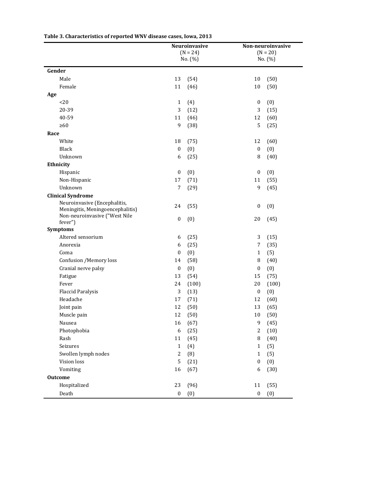|                                  | Neuroinvasive<br>$(N = 24)$ |              | Non-neuroinvasive<br>$(N = 20)$ |       |  |
|----------------------------------|-----------------------------|--------------|---------------------------------|-------|--|
|                                  |                             | No. (%)      | No. (%)                         |       |  |
| Gender                           |                             |              |                                 |       |  |
| Male                             | 13                          | (54)         | 10                              | (50)  |  |
| Female                           | 11                          | (46)         | 10                              | (50)  |  |
| Age                              |                             |              |                                 |       |  |
| <20                              | $\mathbf{1}$                | (4)          | $\boldsymbol{0}$                | (0)   |  |
| 20-39                            | 3                           | (12)         | 3                               | (15)  |  |
| 40-59                            | 11                          | (46)         | 12                              | (60)  |  |
| $\geq 60$                        | 9                           | (38)         | 5                               | (25)  |  |
| Race                             |                             |              |                                 |       |  |
| White                            | 18                          | (75)         | 12                              | (60)  |  |
| Black                            | $\boldsymbol{0}$            | (0)          | $\boldsymbol{0}$                | (0)   |  |
| Unknown                          | 6                           | (25)         | 8                               | (40)  |  |
| Ethnicity                        |                             |              |                                 |       |  |
| Hispanic                         | $\boldsymbol{0}$            | (0)          | $\boldsymbol{0}$                | (0)   |  |
| Non-Hispanic                     | 17                          | (71)         | 11                              | (55)  |  |
| Unknown                          | 7                           | (29)         | 9                               | (45)  |  |
| <b>Clinical Syndrome</b>         |                             |              |                                 |       |  |
| Neuroinvasive (Encephalitis,     | 24                          | (55)         | $\boldsymbol{0}$                | (0)   |  |
| Meningitis, Meningoencephalitis) |                             |              |                                 |       |  |
| Non-neuroinvasive ("West Nile    | $\boldsymbol{0}$            | (0)          | 20                              | (45)  |  |
| fever")<br><b>Symptoms</b>       |                             |              |                                 |       |  |
| Altered sensorium                | 6                           |              | 3                               | (15)  |  |
| Anorexia                         | 6                           | (25)<br>(25) | 7                               | (35)  |  |
| Coma                             | $\boldsymbol{0}$            | (0)          | $\mathbf{1}$                    | (5)   |  |
| Confusion /Memory loss           |                             |              | 8                               |       |  |
|                                  | 14                          | (58)         | $\boldsymbol{0}$                | (40)  |  |
| Cranial nerve palsy<br>Fatigue   | $\boldsymbol{0}$<br>13      | (0)          | 15                              | (0)   |  |
| Fever                            | 24                          | (54)         | 20                              | (75)  |  |
|                                  | 3                           | (100)        |                                 | (100) |  |
| <b>Flaccid Paralysis</b>         |                             | (13)         | $\boldsymbol{0}$                | (0)   |  |
| Headache                         | 17<br>12                    | (71)         | 12                              | (60)  |  |
| Joint pain                       |                             | (50)         | 13                              | (65)  |  |
| Muscle pain                      | 12                          | (50)         | $10\,$                          | (50)  |  |
| Nausea                           | 16                          | (67)         | 9                               | (45)  |  |
| Photophobia                      | 6                           | (25)         | 2                               | (10)  |  |
| Rash                             | 11                          | (45)         | 8                               | (40)  |  |
| Seizures                         | $\mathbf{1}$                | (4)          | $\mathbf{1}$                    | (5)   |  |
| Swollen lymph nodes              | $\overline{c}$              | (8)          | $\mathbf{1}$                    | (5)   |  |
| Vision loss                      | 5                           | (21)         | $\boldsymbol{0}$                | (0)   |  |
| Vomiting                         | 16                          | (67)         | 6                               | (30)  |  |
| <b>Outcome</b>                   |                             |              |                                 |       |  |
| Hospitalized                     | 23                          | (96)         | 11                              | (55)  |  |
| Death                            | $\boldsymbol{0}$            | (0)          | $\boldsymbol{0}$                | (0)   |  |

**Table 3. Characteristics of reported WNV disease cases, Iowa, 2013**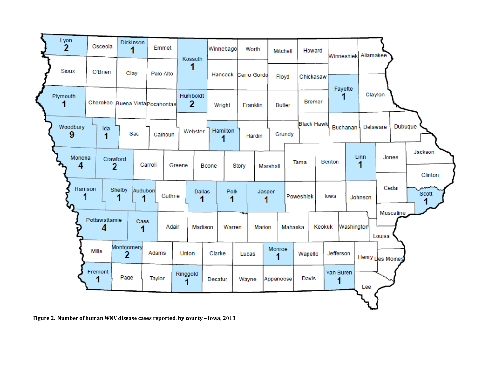

**Figure 2. Number of human WNV disease cases reported, by county – Iowa, 2013**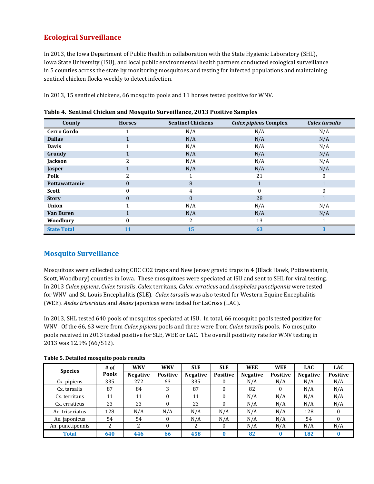## **Ecological Surveillance**

In 2013, the Iowa Department of Public Health in collaboration with the State Hygienic Laboratory (SHL), Iowa State University (ISU), and local public environmental health partners conducted ecological surveillance in 5 counties across the state by monitoring mosquitoes and testing for infected populations and maintaining sentinel chicken flocks weekly to detect infection.

In 2013, 15 sentinel chickens, 66 mosquito pools and 11 horses tested positive for WNV.

| County             | <b>Horses</b> | <b>Sentinel Chickens</b> | <b>Culex pipiens Complex</b> | Culex tarsalis |
|--------------------|---------------|--------------------------|------------------------------|----------------|
| <b>Cerro Gordo</b> |               | N/A                      | N/A                          | N/A            |
| <b>Dallas</b>      |               | N/A                      | N/A                          | N/A            |
| <b>Davis</b>       |               | N/A                      | N/A                          | N/A            |
| Grundy             | 1             | N/A                      | N/A                          | N/A            |
| Jackson            | ∍             | N/A                      | N/A                          | N/A            |
| Jasper             | Ŧ.            | N/A                      | N/A                          | N/A            |
| Polk               | 2             |                          | 21                           | 0              |
| Pottawattamie      | 0             | 8                        | Ŧ.                           |                |
| <b>Scott</b>       | 0             | 4                        | $\Omega$                     | 0              |
| <b>Story</b>       | $\Omega$      | $\Omega$                 | 28                           |                |
| <b>Union</b>       |               | N/A                      | N/A                          | N/A            |
| <b>Van Buren</b>   |               | N/A                      | N/A                          | N/A            |
| Woodbury           |               | $\overline{\mathcal{L}}$ | 13                           |                |
| <b>State Total</b> | 11            | 15                       | 63                           | 3              |

| Table 4. Sentinel Chicken and Mosquito Surveillance, 2013 Positive Samples |
|----------------------------------------------------------------------------|
|----------------------------------------------------------------------------|

#### **Mosquito Surveillance**

Mosquitoes were collected using CDC CO2 traps and New Jersey gravid traps in 4 (Black Hawk, Pottawatamie, Scott, Woodbury) counties in Iowa. These mosquitoes were speciated at ISU and sent to SHL for viral testing. In 2013 *Culex pipiens*, *Culex tarsalis*, *Cul*ex territans, *Culex*. *erraticus* and *Anopheles punctipennis* were tested for WNV and St. Louis Encephalitis (SLE). *Culex tarsalis* was also tested for Western Equine Encephalitis (WEE). *Aedes triseriatus* and *Aedes* japonicas were tested for LaCross (LAC).

In 2013, SHL tested 640 pools of mosquitos speciated at ISU. In total, 66 mosquito pools tested positive for WNV. Of the 66, 63 were from *Culex pipiens* pools and three were from *Culex tarsalis* pools. No mosquito pools received in 2013 tested positive for SLE, WEE or LAC. The overall positivity rate for WNV testing in 2013 was 12.9% (66/512).

| <b>Species</b>   | $#$ of       | <b>WNV</b>      | <b>WNV</b>      | <b>SLE</b>      | <b>SLE</b>      | <b>WEE</b>      | <b>WEE</b>      | <b>LAC</b>      | <b>LAC</b>      |
|------------------|--------------|-----------------|-----------------|-----------------|-----------------|-----------------|-----------------|-----------------|-----------------|
|                  | <b>Pools</b> | <b>Negative</b> | <b>Positive</b> | <b>Negative</b> | <b>Positive</b> | <b>Negative</b> | <b>Positive</b> | <b>Negative</b> | <b>Positive</b> |
| Cx. pipiens      | 335          | 272             | 63              | 335             |                 | N/A             | N/A             | N/A             | N/A             |
| Cx. tarsalis     | 87           | 84              | 3               | 87              | $\Omega$        | 82              | $\theta$        | N/A             | N/A             |
| Cx. territans    | 11           | 11              |                 | 11              | $\theta$        | N/A             | N/A             | N/A             | N/A             |
| Cx. erraticus    | 23           | 23              | 0               | 23              | $\theta$        | N/A             | N/A             | N/A             | N/A             |
| Ae. triseriatus  | 128          | N/A             | N/A             | N/A             | N/A             | N/A             | N/A             | 128             | 0               |
| Ae. japonicus    | 54           | 54              | 0               | N/A             | N/A             | N/A             | N/A             | 54              |                 |
| An. punctipennis | 2            | C               | 0               |                 | $\Omega$        | N/A             | N/A             | N/A             | N/A             |
| <b>Total</b>     | 640          | 446             | 66              | 458             | $\bf{0}$        | 82              |                 | 182             |                 |

**Table 5. Detailed mosquito pools results**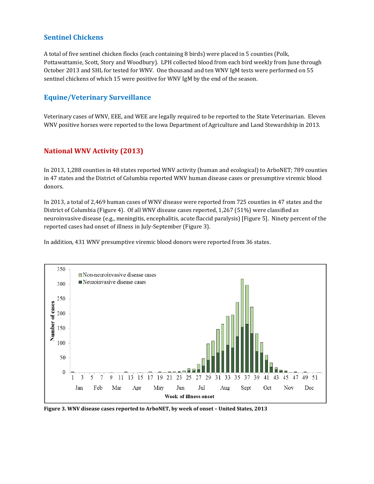#### **Sentinel Chickens**

A total of five sentinel chicken flocks (each containing 8 birds) were placed in 5 counties (Polk, Pottawattamie, Scott, Story and Woodbury). LPH collected blood from each bird weekly from June through October 2013 and SHL for tested for WNV. One thousand and ten WNV IgM tests were performed on 55 sentinel chickens of which 15 were positive for WNV IgM by the end of the season.

## **Equine/Veterinary Surveillance**

Veterinary cases of WNV, EEE, and WEE are legally required to be reported to the State Veterinarian. Eleven WNV positive horses were reported to the Iowa Department of Agriculture and Land Stewardship in 2013.

## **National WNV Activity (2013)**

In 2013, 1,288 counties in 48 states reported WNV activity (human and ecological) to ArboNET; 789 counties in 47 states and the District of Columbia reported WNV human disease cases or presumptive viremic blood donors.

In 2013, a total of 2,469 human cases of WNV disease were reported from 725 counties in 47 states and the District of Columbia (Figure 4). Of all WNV disease cases reported, 1,267 (51%) were classified as neuroinvasive disease (e.g., meningitis, encephalitis, acute flaccid paralysis) [Figure 5]. Ninety percent of the reported cases had onset of illness in July-September (Figure 3).

In addition, 431 WNV presumptive viremic blood donors were reported from 36 states.



**Figure 3. WNV disease cases reported to ArboNET, by week of onset – United States, 2013**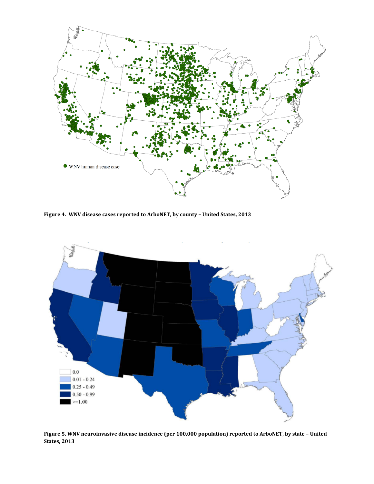

**Figure 4. WNV disease cases reported to ArboNET, by county – United States, 2013**



**Figure 5. WNV neuroinvasive disease incidence (per 100,000 population) reported to ArboNET, by state – United States, 2013**